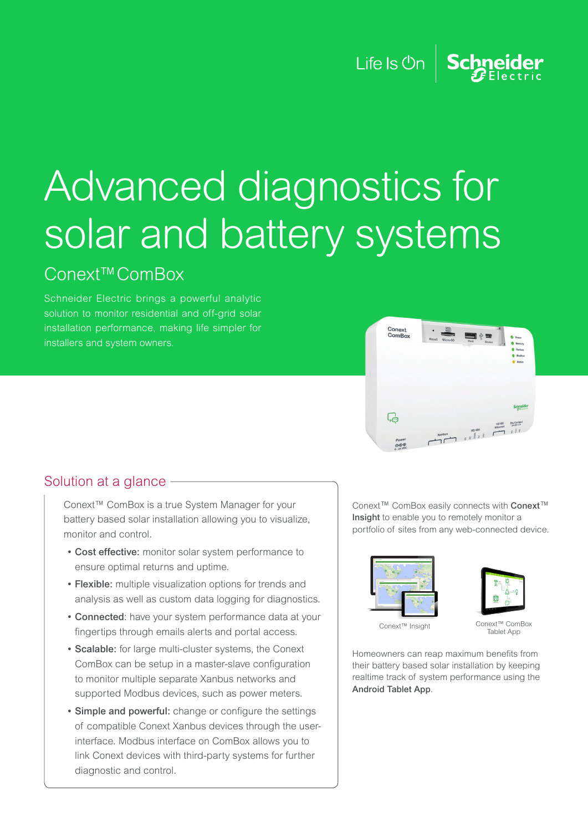## Life Is  $On \mid$  Schneider

# Advanced diagnostics for solar and battery systems

## Conext™ComBox

Schneider Electric brings a powerful analytic solution to monitor residential and off-grid solar installation performance, making life simpler for installers and system owners.



#### Solution at a glance -

Conext™ ComBox is a true System Manager for your battery based solar installation allowing you to visualize, monitor and control.

- Cost effective: monitor solar system performance to ensure optimal returns and uptime.
- Flexible: multiple visualization options for trends and analysis as well as custom data logging for diagnostics.
- Connected: have your system performance data at your fingertips through emails alerts and portal access.
- Scalable: for large multi-cluster systems, the Conext ComBox can be setup in a master-slave configuration to monitor multiple separate Xanbus networks and supported Modbus devices, such as power meters.
- Simple and powerful: change or configure the settings of compatible Conext Xanbus devices through the userinterface. Modbus interface on ComBox allows you to link Conext devices with third-party systems for further diagnostic and control.

Conext™ ComBox easily connects with Conext™ Insight to enable you to remotely monitor a portfolio of sites from any web-connected device.





Conext™ Insight

Conext™ ComBox ran<br>Tablet Ann

Homeowners can reap maximum benefits from their battery based solar installation by keeping realtime track of system performance using the Android Tablet App.